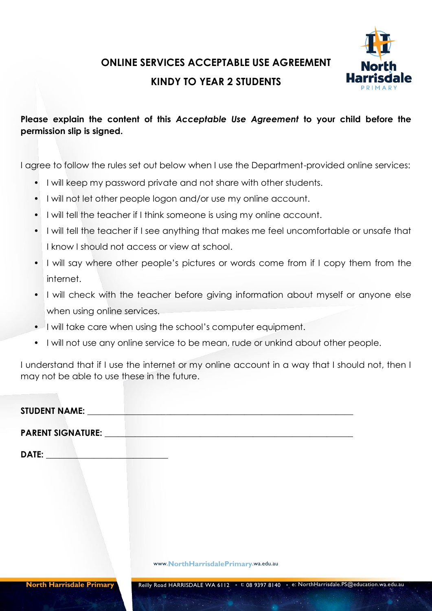## **ONLINE SERVICES ACCEPTABLE USE AGREEMENT**

### **KINDY TO YEAR 2 STUDENTS**

#### **Please explain the content of this** *Acceptable Use Agreement* **to your child before the permission slip is signed.**

I agree to follow the rules set out below when I use the Department-provided online services:

- I will keep my password private and not share with other students.
- I will not let other people logon and/or use my online account.
- I will tell the teacher if I think someone is using my online account.
- I will tell the teacher if I see anything that makes me feel uncomfortable or unsafe that I know I should not access or view at school.
- I will say where other people's pictures or words come from if I copy them from the internet.
- I will check with the teacher before giving information about myself or anyone else when using online services.
- I will take care when using the school's computer equipment.
- I will not use any online service to be mean, rude or unkind about other people.

I understand that if I use the internet or my online account in a way that I should not, then I may not be able to use these in the future.

www.**NorthHarrisdalePrimary**.wa.edu.au